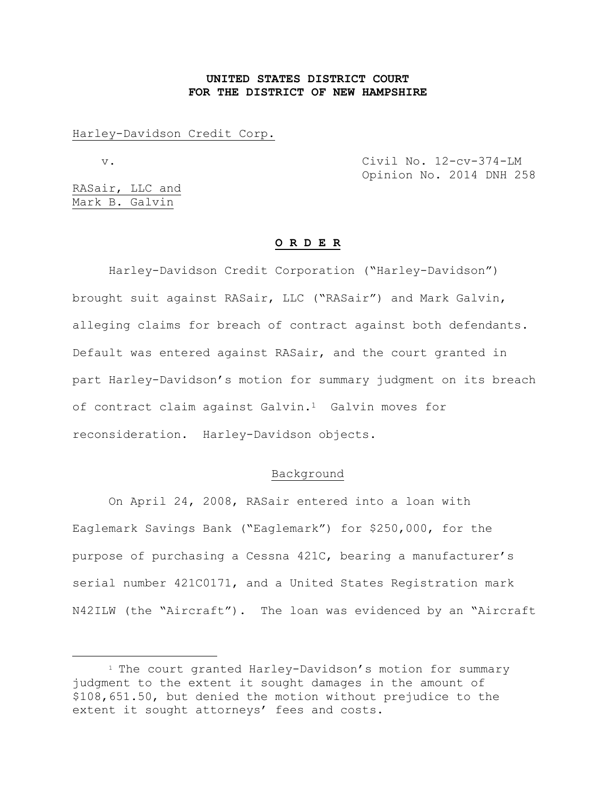# **UNITED STATES DISTRICT COURT FOR THE DISTRICT OF NEW HAMPSHIRE**

Harley-Davidson Credit Corp.

÷.

 v. Civil No. 12-cv-374-LM Opinion No. 2014 DNH 258

RASair, LLC and Mark B. Galvin

#### **O R D E R**

Harley-Davidson Credit Corporation ("Harley-Davidson") brought suit against RASair, LLC ("RASair") and Mark Galvin, alleging claims for breach of contract against both defendants. Default was entered against RASair, and the court granted in part Harley-Davidson's motion for summary judgment on its breach of contract claim against Galvin.<sup>1</sup> Galvin moves for reconsideration. Harley-Davidson objects.

#### Background

On April 24, 2008, RASair entered into a loan with Eaglemark Savings Bank ("Eaglemark") for \$250,000, for the purpose of purchasing a Cessna 421C, bearing a manufacturer's serial number 421C0171, and a United States Registration mark N42ILW (the "Aircraft"). The loan was evidenced by an "Aircraft

<sup>&</sup>lt;sup>1</sup> The court granted Harley-Davidson's motion for summary judgment to the extent it sought damages in the amount of \$108,651.50, but denied the motion without prejudice to the extent it sought attorneys' fees and costs.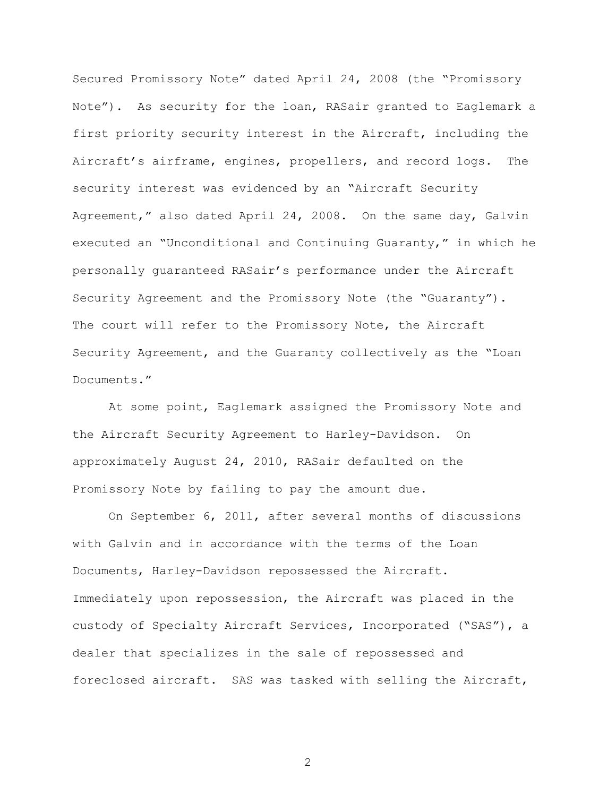Secured Promissory Note" dated April 24, 2008 (the "Promissory Note"). As security for the loan, RASair granted to Eaglemark a first priority security interest in the Aircraft, including the Aircraft's airframe, engines, propellers, and record logs. The security interest was evidenced by an "Aircraft Security Agreement," also dated April 24, 2008. On the same day, Galvin executed an "Unconditional and Continuing Guaranty," in which he personally guaranteed RASair's performance under the Aircraft Security Agreement and the Promissory Note (the "Guaranty"). The court will refer to the Promissory Note, the Aircraft Security Agreement, and the Guaranty collectively as the "Loan Documents."

At some point, Eaglemark assigned the Promissory Note and the Aircraft Security Agreement to Harley-Davidson. On approximately August 24, 2010, RASair defaulted on the Promissory Note by failing to pay the amount due.

On September 6, 2011, after several months of discussions with Galvin and in accordance with the terms of the Loan Documents, Harley-Davidson repossessed the Aircraft. Immediately upon repossession, the Aircraft was placed in the custody of Specialty Aircraft Services, Incorporated ("SAS"), a dealer that specializes in the sale of repossessed and foreclosed aircraft. SAS was tasked with selling the Aircraft,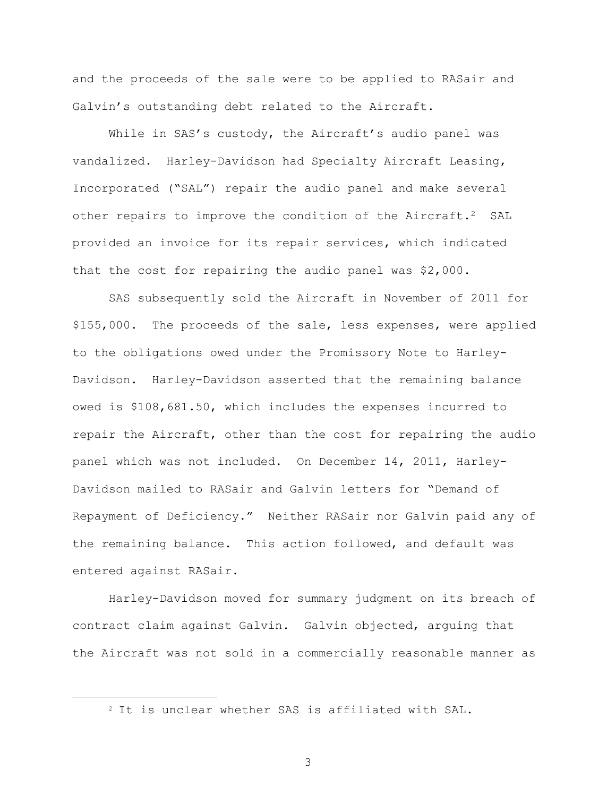and the proceeds of the sale were to be applied to RASair and Galvin's outstanding debt related to the Aircraft.

While in SAS's custody, the Aircraft's audio panel was vandalized. Harley-Davidson had Specialty Aircraft Leasing, Incorporated ("SAL") repair the audio panel and make several other repairs to improve the condition of the Aircraft.<sup>2</sup> SAL provided an invoice for its repair services, which indicated that the cost for repairing the audio panel was \$2,000.

SAS subsequently sold the Aircraft in November of 2011 for \$155,000. The proceeds of the sale, less expenses, were applied to the obligations owed under the Promissory Note to Harley-Davidson. Harley-Davidson asserted that the remaining balance owed is \$108,681.50, which includes the expenses incurred to repair the Aircraft, other than the cost for repairing the audio panel which was not included. On December 14, 2011, Harley-Davidson mailed to RASair and Galvin letters for "Demand of Repayment of Deficiency." Neither RASair nor Galvin paid any of the remaining balance. This action followed, and default was entered against RASair.

Harley-Davidson moved for summary judgment on its breach of contract claim against Galvin. Galvin objected, arguing that the Aircraft was not sold in a commercially reasonable manner as

÷.

<sup>2</sup> It is unclear whether SAS is affiliated with SAL.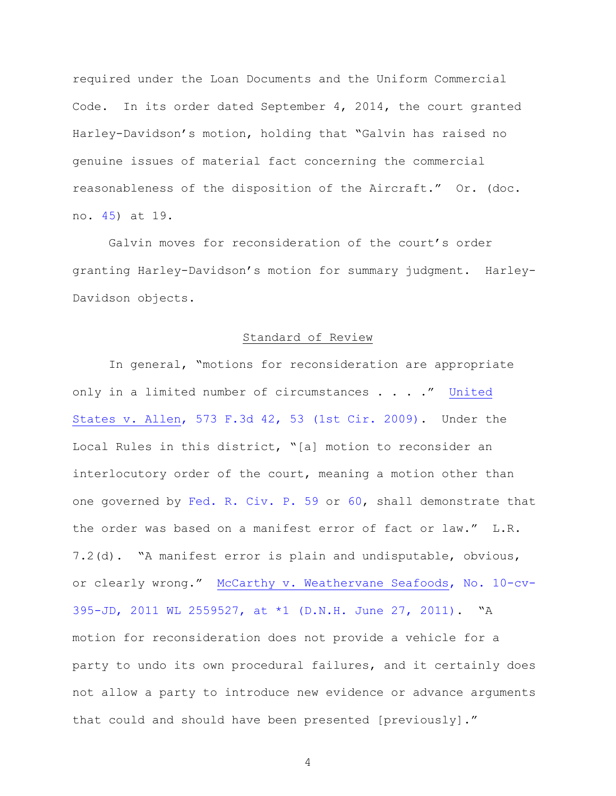required under the Loan Documents and the Uniform Commercial Code. In its order dated September 4, 2014, the court granted Harley-Davidson's motion, holding that "Galvin has raised no genuine issues of material fact concerning the commercial reasonableness of the disposition of the Aircraft." Or. (doc. no. [45\)](https://ecf.nhd.uscourts.gov/doc1/11711462484) at 19.

Galvin moves for reconsideration of the court's order granting Harley-Davidson's motion for summary judgment. Harley-Davidson objects.

### Standard of Review

In general, "motions for reconsideration are appropriate only in a limited number of circumstances . . . ." [United](http://www.westlaw.com/find/default.wl?ft=Y&referencepositiontype=S&rs=ap2.0&rp=%2ffind%2fdefault.wl&serialnum=2019428202&fn=_top&referenceposition=53&findtype=Y&vr=2.0&db=0000506&wbtoolsId=2019428202&HistoryType=F)  [States v. Allen, 573 F.3d 42, 53 \(1st Cir. 2009\).](http://www.westlaw.com/find/default.wl?ft=Y&referencepositiontype=S&rs=ap2.0&rp=%2ffind%2fdefault.wl&serialnum=2019428202&fn=_top&referenceposition=53&findtype=Y&vr=2.0&db=0000506&wbtoolsId=2019428202&HistoryType=F) Under the Local Rules in this district, "[a] motion to reconsider an interlocutory order of the court, meaning a motion other than one governed by [Fed. R. Civ. P. 59](http://www.westlaw.com/find/default.wl?ft=L&docname=USFRCPR59&rs=ap2.0&rp=%2ffind%2fdefault.wl&fn=_top&findtype=L&vr=2.0&db=1000600&wbtoolsId=USFRCPR59&HistoryType=F) or [60,](http://www.westlaw.com/find/default.wl?ft=L&docname=USFRCPR59&rs=ap2.0&rp=%2ffind%2fdefault.wl&fn=_top&findtype=L&vr=2.0&db=1000600&wbtoolsId=USFRCPR59&HistoryType=F) shall demonstrate that the order was based on a manifest error of fact or law." L.R. 7.2(d). "A manifest error is plain and undisputable, obvious, or clearly wrong." [McCarthy v. Weathervane Seafoods, No. 10-cv-](http://www.westlaw.com/find/default.wl?ft=Y&referencepositiontype=S&rs=ap2.0&rp=%2ffind%2fdefault.wl&serialnum=2025579160&fn=_top&referenceposition=1&findtype=Y&vr=2.0&db=0000999&wbtoolsId=2025579160&HistoryType=F)[395-JD, 2011 WL 2559527, at \\*1 \(D.N.H. June 27, 2011\)](http://www.westlaw.com/find/default.wl?ft=Y&referencepositiontype=S&rs=ap2.0&rp=%2ffind%2fdefault.wl&serialnum=2025579160&fn=_top&referenceposition=1&findtype=Y&vr=2.0&db=0000999&wbtoolsId=2025579160&HistoryType=F). "A motion for reconsideration does not provide a vehicle for a party to undo its own procedural failures, and it certainly does not allow a party to introduce new evidence or advance arguments that could and should have been presented [previously]."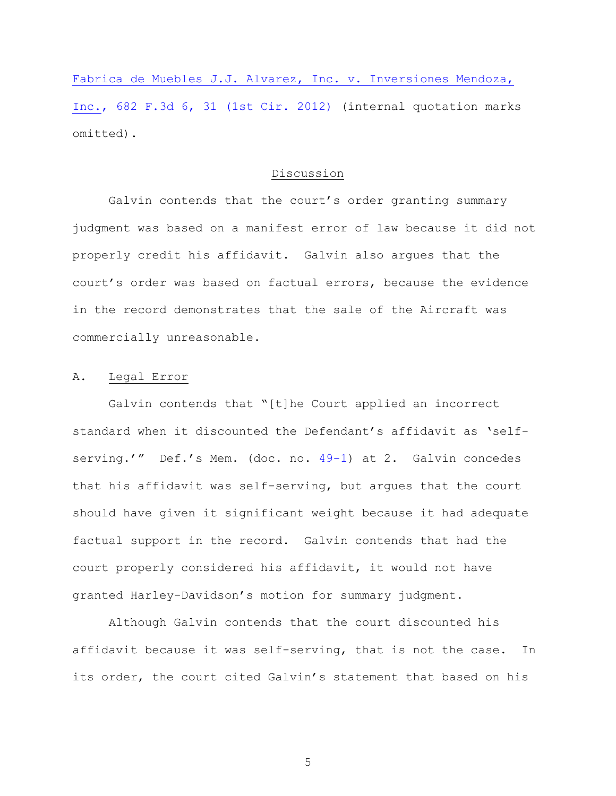[Fabrica de Muebles J.J. Alvarez, Inc. v. Inversiones Mendoza,](http://www.westlaw.com/find/default.wl?cite=682+F.3d+6&ft=Y&referencepositiontype=S&rs=ap2.0&rp=%2ffind%2fdefault.wl&fn=_top&referenceposition=31&findtype=Y&vr=2.0&db=0000506&HistoryType=C)  [Inc., 682 F.3d 6, 31 \(1st Cir. 2012\)](http://www.westlaw.com/find/default.wl?cite=682+F.3d+6&ft=Y&referencepositiontype=S&rs=ap2.0&rp=%2ffind%2fdefault.wl&fn=_top&referenceposition=31&findtype=Y&vr=2.0&db=0000506&HistoryType=C) (internal quotation marks omitted).

## Discussion

Galvin contends that the court's order granting summary judgment was based on a manifest error of law because it did not properly credit his affidavit. Galvin also argues that the court's order was based on factual errors, because the evidence in the record demonstrates that the sale of the Aircraft was commercially unreasonable.

# A. Legal Error

Galvin contends that "[t]he Court applied an incorrect standard when it discounted the Defendant's affidavit as 'self-serving.'" Def.'s Mem. (doc. no. [49-1\)](https://ecf.nhd.uscourts.gov/doc1/11711471685) at 2. Galvin concedes that his affidavit was self-serving, but argues that the court should have given it significant weight because it had adequate factual support in the record. Galvin contends that had the court properly considered his affidavit, it would not have granted Harley-Davidson's motion for summary judgment.

Although Galvin contends that the court discounted his affidavit because it was self-serving, that is not the case. In its order, the court cited Galvin's statement that based on his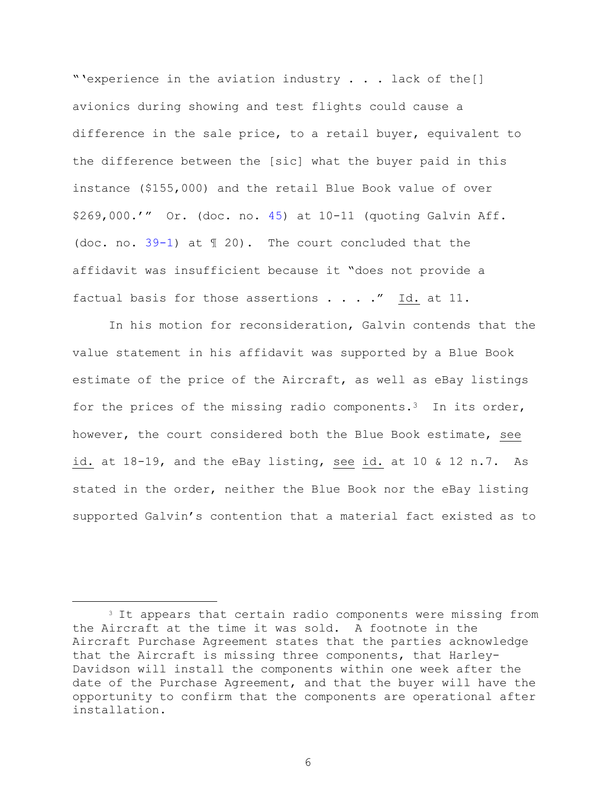"'experience in the aviation industry . . . lack of the[] avionics during showing and test flights could cause a difference in the sale price, to a retail buyer, equivalent to the difference between the [sic] what the buyer paid in this instance (\$155,000) and the retail Blue Book value of over \$269,000.'" Or. (doc. no. [45\)](https://ecf.nhd.uscourts.gov/doc1/11711462484) at 10-11 (quoting Galvin Aff. (doc. no. [39-1\)](https://ecf.nhd.uscourts.gov/doc1/11711439491) at ¶ 20). The court concluded that the affidavit was insufficient because it "does not provide a factual basis for those assertions  $\ldots$  ." Id. at 11.

In his motion for reconsideration, Galvin contends that the value statement in his affidavit was supported by a Blue Book estimate of the price of the Aircraft, as well as eBay listings for the prices of the missing radio components.<sup>3</sup> In its order, however, the court considered both the Blue Book estimate, see id. at 18-19, and the eBay listing, see id. at 10 & 12 n.7. As stated in the order, neither the Blue Book nor the eBay listing supported Galvin's contention that a material fact existed as to

÷.

<sup>&</sup>lt;sup>3</sup> It appears that certain radio components were missing from the Aircraft at the time it was sold. A footnote in the Aircraft Purchase Agreement states that the parties acknowledge that the Aircraft is missing three components, that Harley-Davidson will install the components within one week after the date of the Purchase Agreement, and that the buyer will have the opportunity to confirm that the components are operational after installation.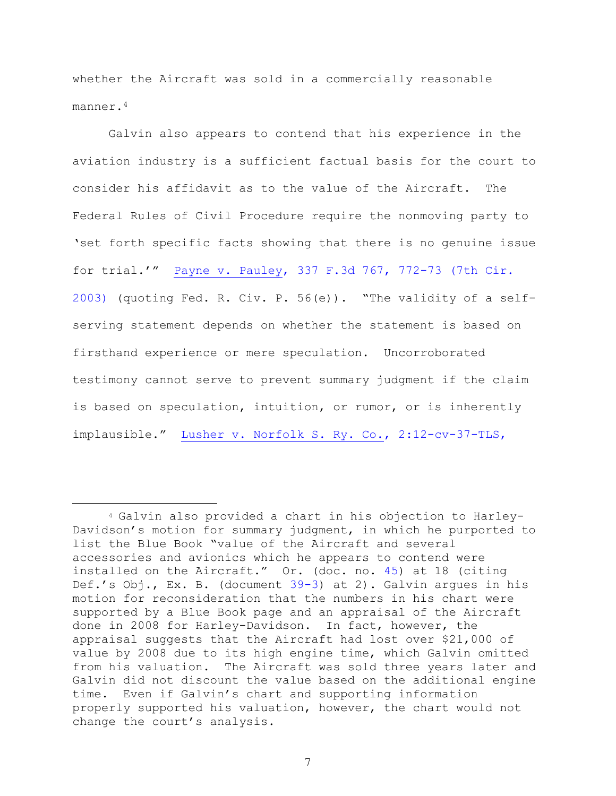whether the Aircraft was sold in a commercially reasonable manner.<sup>4</sup>

Galvin also appears to contend that his experience in the aviation industry is a sufficient factual basis for the court to consider his affidavit as to the value of the Aircraft. The Federal Rules of Civil Procedure require the nonmoving party to 'set forth specific facts showing that there is no genuine issue for trial.'" [Payne v. Pauley, 337 F.3d 767, 772-73 \(7th Cir.](http://www.westlaw.com/find/default.wl?ft=Y&referencepositiontype=S&rs=ap2.0&rp=%2ffind%2fdefault.wl&serialnum=2003481968&fn=_top&referenceposition=73&findtype=Y&vr=2.0&db=0000506&wbtoolsId=2003481968&HistoryType=F)  [2003\)](http://www.westlaw.com/find/default.wl?ft=Y&referencepositiontype=S&rs=ap2.0&rp=%2ffind%2fdefault.wl&serialnum=2003481968&fn=_top&referenceposition=73&findtype=Y&vr=2.0&db=0000506&wbtoolsId=2003481968&HistoryType=F) (quoting Fed. R. Civ. P. 56(e)). "The validity of a selfserving statement depends on whether the statement is based on firsthand experience or mere speculation. Uncorroborated testimony cannot serve to prevent summary judgment if the claim is based on speculation, intuition, or rumor, or is inherently implausible." [Lusher v. Norfolk S. Ry. Co., 2:12-cv-37-TLS,](http://www.westlaw.com/find/default.wl?ft=Y&referencepositiontype=S&rs=ap2.0&rp=%2ffind%2fdefault.wl&serialnum=2034068459&fn=_top&referenceposition=2&findtype=Y&vr=2.0&db=0000999&wbtoolsId=2034068459&HistoryType=F) 

÷.

<sup>4</sup> Galvin also provided a chart in his objection to Harley-Davidson's motion for summary judgment, in which he purported to list the Blue Book "value of the Aircraft and several accessories and avionics which he appears to contend were installed on the Aircraft." Or. (doc. no. [45\)](https://ecf.nhd.uscourts.gov/doc1/11711462484) at 18 (citing Def.'s Obj., Ex. B. (document [39-3\)](https://ecf.nhd.uscourts.gov/doc1/11711439493) at 2). Galvin argues in his motion for reconsideration that the numbers in his chart were supported by a Blue Book page and an appraisal of the Aircraft done in 2008 for Harley-Davidson. In fact, however, the appraisal suggests that the Aircraft had lost over \$21,000 of value by 2008 due to its high engine time, which Galvin omitted from his valuation. The Aircraft was sold three years later and Galvin did not discount the value based on the additional engine time. Even if Galvin's chart and supporting information properly supported his valuation, however, the chart would not change the court's analysis.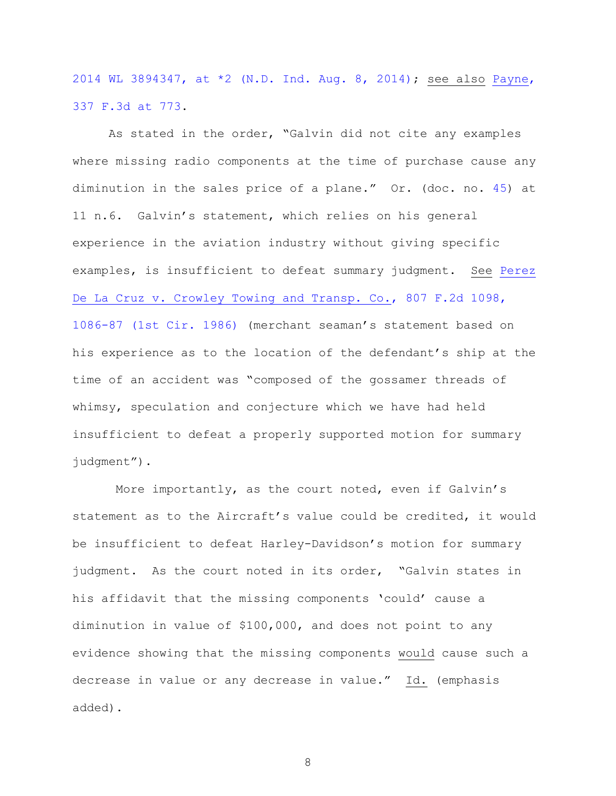[2014 WL 3894347, at \\*2 \(N.D. Ind. Aug. 8, 2014\);](http://www.westlaw.com/find/default.wl?ft=Y&referencepositiontype=S&rs=ap2.0&rp=%2ffind%2fdefault.wl&serialnum=2034068459&fn=_top&referenceposition=2&findtype=Y&vr=2.0&db=0000999&wbtoolsId=2034068459&HistoryType=F) see also [Payne,](http://www.westlaw.com/find/default.wl?ft=Y&referencepositiontype=S&rs=ap2.0&rp=%2ffind%2fdefault.wl&serialnum=2003481968&fn=_top&referenceposition=73&findtype=Y&vr=2.0&db=0000506&wbtoolsId=2003481968&HistoryType=F)  [337 F.3d at 773.](http://www.westlaw.com/find/default.wl?ft=Y&referencepositiontype=S&rs=ap2.0&rp=%2ffind%2fdefault.wl&serialnum=2003481968&fn=_top&referenceposition=73&findtype=Y&vr=2.0&db=0000506&wbtoolsId=2003481968&HistoryType=F)

As stated in the order, "Galvin did not cite any examples where missing radio components at the time of purchase cause any diminution in the sales price of a plane." Or. (doc. no. [45\)](https://ecf.nhd.uscourts.gov/doc1/11711462484) at 11 n.6. Galvin's statement, which relies on his general experience in the aviation industry without giving specific examples, is insufficient to defeat summary judgment. See [Perez](http://www.westlaw.com/find/default.wl?cite=1086-87+(1st+Cir.+1986)&ft=Y&referencepositiontype=S&rs=ap2.0&rp=%2ffind%2fdefault.wl&fn=_top&referenceposition=108687&findtype=Y&vr=2.0&db=0000350&HistoryType=C)  De La Cruz v. Crowley Towing and Transp. Co., 807 F.2d 1098, [1086-87 \(1st Cir. 1986\)](http://www.westlaw.com/find/default.wl?cite=1086-87+(1st+Cir.+1986)&ft=Y&referencepositiontype=S&rs=ap2.0&rp=%2ffind%2fdefault.wl&fn=_top&referenceposition=108687&findtype=Y&vr=2.0&db=0000350&HistoryType=C) (merchant seaman's statement based on his experience as to the location of the defendant's ship at the time of an accident was "composed of the gossamer threads of whimsy, speculation and conjecture which we have had held insufficient to defeat a properly supported motion for summary judgment").

More importantly, as the court noted, even if Galvin's statement as to the Aircraft's value could be credited, it would be insufficient to defeat Harley-Davidson's motion for summary judgment. As the court noted in its order, "Galvin states in his affidavit that the missing components 'could' cause a diminution in value of \$100,000, and does not point to any evidence showing that the missing components would cause such a decrease in value or any decrease in value." Id. (emphasis added).